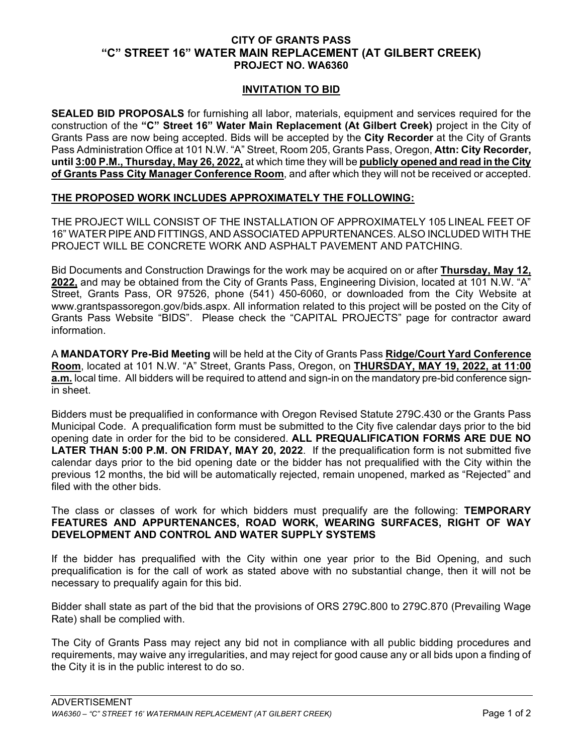## **CITY OF GRANTS PASS "C" STREET 16" WATER MAIN REPLACEMENT (AT GILBERT CREEK) PROJECT NO. WA6360**

## **INVITATION TO BID**

**SEALED BID PROPOSALS** for furnishing all labor, materials, equipment and services required for the construction of the **"C" Street 16" Water Main Replacement (At Gilbert Creek)** project in the City of Grants Pass are now being accepted. Bids will be accepted by the **City Recorder** at the City of Grants Pass Administration Office at 101 N.W. "A" Street, Room 205, Grants Pass, Oregon, **Attn: City Recorder, until 3:00 P.M., Thursday, May 26, 2022,** at which time they will be **publicly opened and read in the City of Grants Pass City Manager Conference Room**, and after which they will not be received or accepted.

## **THE PROPOSED WORK INCLUDES APPROXIMATELY THE FOLLOWING:**

THE PROJECT WILL CONSIST OF THE INSTALLATION OF APPROXIMATELY 105 LINEAL FEET OF 16" WATER PIPE AND FITTINGS, AND ASSOCIATED APPURTENANCES. ALSO INCLUDED WITH THE PROJECT WILL BE CONCRETE WORK AND ASPHALT PAVEMENT AND PATCHING.

Bid Documents and Construction Drawings for the work may be acquired on or after **Thursday, May 12, 2022,** and may be obtained from the City of Grants Pass, Engineering Division, located at 101 N.W. "A" Street, Grants Pass, OR 97526, phone (541) 450-6060, or downloaded from the City Website at www.grantspassoregon.gov/bids.aspx. All information related to this project will be posted on the City of Grants Pass Website "BIDS". Please check the "CAPITAL PROJECTS" page for contractor award information.

A **MANDATORY Pre-Bid Meeting** will be held at the City of Grants Pass **Ridge/Court Yard Conference Room**, located at 101 N.W. "A" Street, Grants Pass, Oregon, on **THURSDAY, MAY 19, 2022, at 11:00 a.m.** local time. All bidders will be required to attend and sign-in on the mandatory pre-bid conference signin sheet.

Bidders must be prequalified in conformance with Oregon Revised Statute 279C.430 or the Grants Pass Municipal Code. A prequalification form must be submitted to the City five calendar days prior to the bid opening date in order for the bid to be considered. **ALL PREQUALIFICATION FORMS ARE DUE NO LATER THAN 5:00 P.M. ON FRIDAY, MAY 20, 2022**. If the prequalification form is not submitted five calendar days prior to the bid opening date or the bidder has not prequalified with the City within the previous 12 months, the bid will be automatically rejected, remain unopened, marked as "Rejected" and filed with the other bids.

The class or classes of work for which bidders must prequalify are the following: **TEMPORARY FEATURES AND APPURTENANCES, ROAD WORK, WEARING SURFACES, RIGHT OF WAY DEVELOPMENT AND CONTROL AND WATER SUPPLY SYSTEMS**

If the bidder has prequalified with the City within one year prior to the Bid Opening, and such prequalification is for the call of work as stated above with no substantial change, then it will not be necessary to prequalify again for this bid.

Bidder shall state as part of the bid that the provisions of ORS 279C.800 to 279C.870 (Prevailing Wage Rate) shall be complied with.

The City of Grants Pass may reject any bid not in compliance with all public bidding procedures and requirements, may waive any irregularities, and may reject for good cause any or all bids upon a finding of the City it is in the public interest to do so.